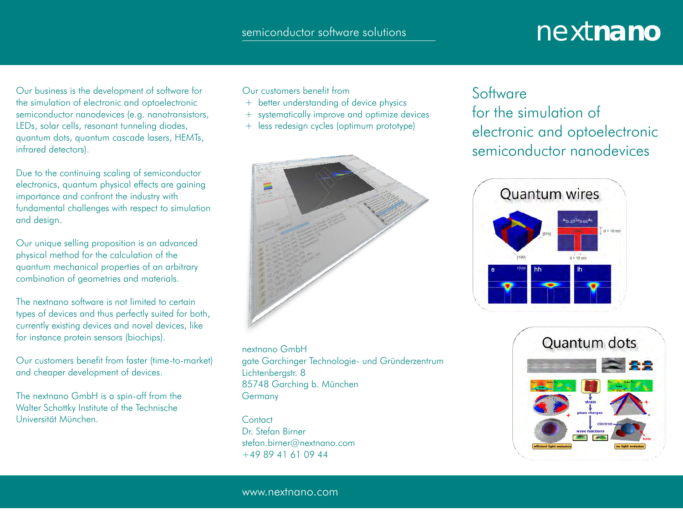## semiconductor software solutions next next nano

Our business is the development of software for the simulation of electronic and optoelectronic semiconductor nanodevices (e.g. nanotransistors, LEDs, solar cells, resonant tunneling diodes, quantum dots, quantum cascade lasers, HEMTs, infrared detectors).

Due to the continuing scaling of semiconductor electronics, quantum physical effects are gaining importance and confront the industry with fundamental challenges with respect to simulation and design.

Our unique selling proposition is an advanced physical method for the calculation of the quantum mechanical properties of an arbitrary combination of geometries and materials.

The nextnano software is not limited to certain types of devices and thus perfectly suited for both, currently existing devices and novel devices, like for instance protein sensors (biochips).

Our customers benefit from faster (time-to-market) and cheaper development of devices.

The nextnano GmbH is a spin-off from the Walter Schottky Institute of the Technische Universität München.

Our customers benefit from

- + better understanding of device physics
- + systematically improve and optimize devices
- + less redesign cycles (optimum prototype)



nextnano GmbH gate Garchinger Technologie- und Gründerzentrum Lichtenbergstr. 8 85748 Garching b. München **Germany** 

**Contact** Dr. Stefan Birner stefan.birner@nextnano.com +49 89 41 61 09 44

#### **Software**

for the simulation of electronic and optoelectronic semiconductor nanodevices